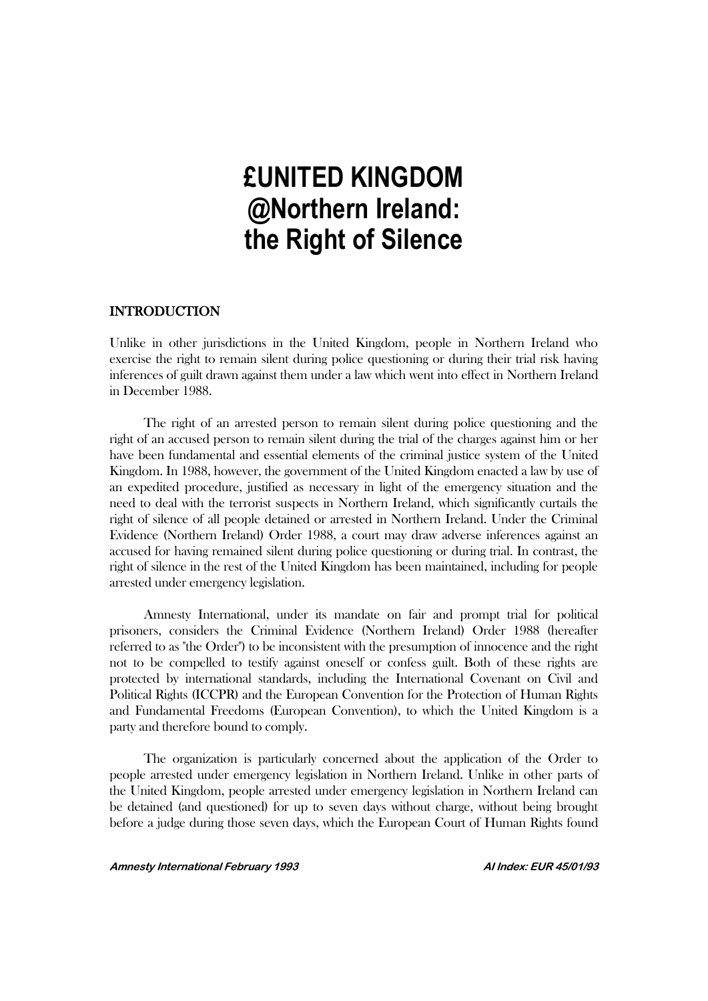# **£UNITED KINGDOM @Northern Ireland: the Right of Silence**

# **INTRODUCTION**

Unlike in other jurisdictions in the United Kingdom, people in Northern Ireland who exercise the right to remain silent during police questioning or during their trial risk having inferences of guilt drawn against them under a law which went into effect in Northern Ireland in December 1988.

The right of an arrested person to remain silent during police questioning and the right of an accused person to remain silent during the trial of the charges against him or her have been fundamental and essential elements of the criminal justice system of the United Kingdom. In 1988, however, the government of the United Kingdom enacted a law by use of an expedited procedure, justified as necessary in light of the emergency situation and the need to deal with the terrorist suspects in Northern Ireland, which significantly curtails the right of silence of all people detained or arrested in Northern Ireland. Under the Criminal Evidence (Northern Ireland) Order 1988, a court may draw adverse inferences against an accused for having remained silent during police questioning or during trial. In contrast, the right of silence in the rest of the United Kingdom has been maintained, including for people arrested under emergency legislation.

Amnesty International, under its mandate on fair and prompt trial for political prisoners, considers the Criminal Evidence (Northern Ireland) Order 1988 (hereafter referred to as "the Order") to be inconsistent with the presumption of innocence and the right not to be compelled to testify against oneself or confess guilt. Both of these rights are protected by international standards, including the International Covenant on Civil and Political Rights (ICCPR) and the European Convention for the Protection of Human Rights and Fundamental Freedoms (European Convention), to which the United Kingdom is a party and therefore bound to comply.

The organization is particularly concerned about the application of the Order to people arrested under emergency legislation in Northern Ireland. Unlike in other parts of the United Kingdom, people arrested under emergency legislation in Northern Ireland can be detained (and questioned) for up to seven days without charge, without being brought before a judge during those seven days, which the European Court of Human Rights found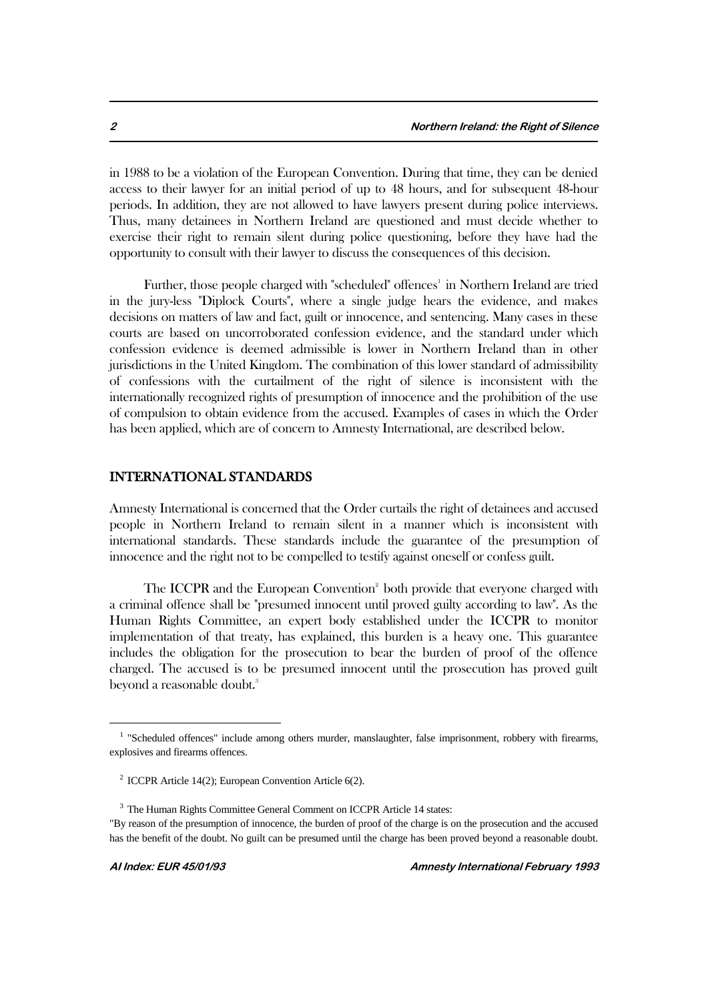in 1988 to be a violation of the European Convention. During that time, they can be denied access to their lawyer for an initial period of up to 48 hours, and for subsequent 48-hour periods. In addition, they are not allowed to have lawyers present during police interviews. Thus, many detainees in Northern Ireland are questioned and must decide whether to exercise their right to remain silent during police questioning, before they have had the opportunity to consult with their lawyer to discuss the consequences of this decision.

Further, those people charged with "scheduled" offences<sup>1</sup> in Northern Ireland are tried in the jury-less "Diplock Courts", where a single judge hears the evidence, and makes decisions on matters of law and fact, guilt or innocence, and sentencing. Many cases in these courts are based on uncorroborated confession evidence, and the standard under which confession evidence is deemed admissible is lower in Northern Ireland than in other jurisdictions in the United Kingdom. The combination of this lower standard of admissibility of confessions with the curtailment of the right of silence is inconsistent with the internationally recognized rights of presumption of innocence and the prohibition of the use of compulsion to obtain evidence from the accused. Examples of cases in which the Order has been applied, which are of concern to Amnesty International, are described below.

## INTERNATIONAL STANDARDS

Amnesty International is concerned that the Order curtails the right of detainees and accused people in Northern Ireland to remain silent in a manner which is inconsistent with international standards. These standards include the guarantee of the presumption of innocence and the right not to be compelled to testify against oneself or confess guilt.

The ICCPR and the European Convention<sup>2</sup> both provide that everyone charged with a criminal offence shall be "presumed innocent until proved guilty according to law". As the Human Rights Committee, an expert body established under the ICCPR to monitor implementation of that treaty, has explained, this burden is a heavy one. This guarantee includes the obligation for the prosecution to bear the burden of proof of the offence charged. The accused is to be presumed innocent until the prosecution has proved guilt beyond a reasonable doubt.<sup>3</sup>

<sup>&</sup>lt;sup>1</sup> "Scheduled offences" include among others murder, manslaughter, false imprisonment, robbery with firearms, explosives and firearms offences.

<sup>2</sup> ICCPR Article 14(2); European Convention Article 6(2).

<sup>&</sup>lt;sup>3</sup> The Human Rights Committee General Comment on ICCPR Article 14 states:

<sup>&</sup>quot;By reason of the presumption of innocence, the burden of proof of the charge is on the prosecution and the accused has the benefit of the doubt. No guilt can be presumed until the charge has been proved beyond a reasonable doubt.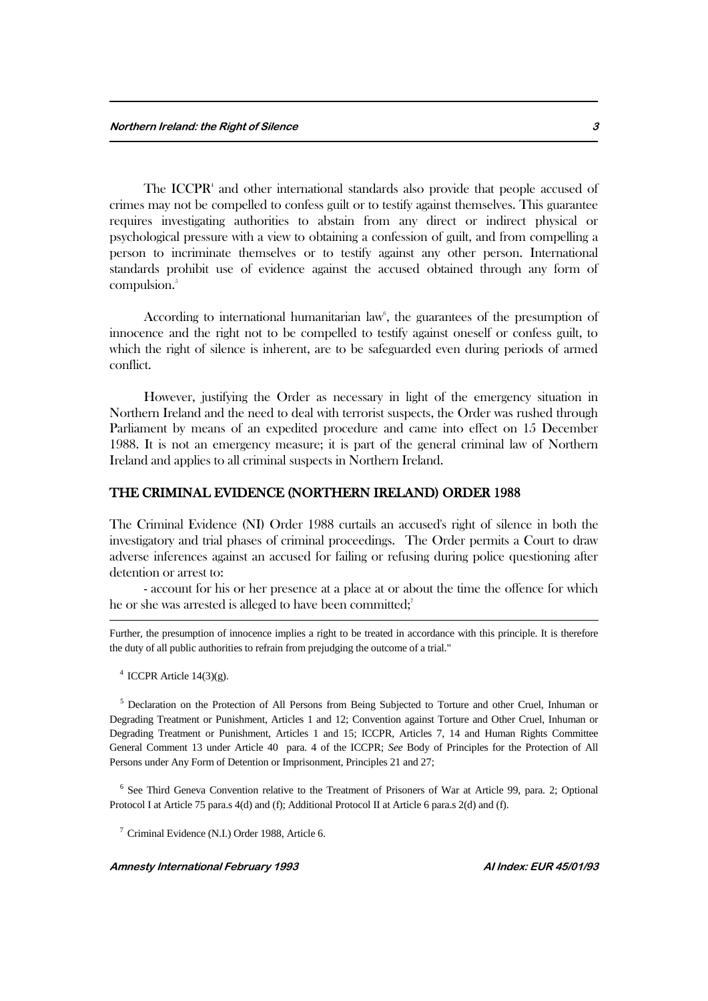The ICCPR $<sup>4</sup>$  and other international standards also provide that people accused of</sup> crimes may not be compelled to confess guilt or to testify against themselves. This guarantee requires investigating authorities to abstain from any direct or indirect physical or psychological pressure with a view to obtaining a confession of guilt, and from compelling a person to incriminate themselves or to testify against any other person. International standards prohibit use of evidence against the accused obtained through any form of compulsion.<sup>5</sup>

According to international humanitarian law<sup>6</sup>, the guarantees of the presumption of innocence and the right not to be compelled to testify against oneself or confess guilt, to which the right of silence is inherent, are to be safeguarded even during periods of armed conflict.

However, justifying the Order as necessary in light of the emergency situation in Northern Ireland and the need to deal with terrorist suspects, the Order was rushed through Parliament by means of an expedited procedure and came into effect on 15 December 1988. It is not an emergency measure; it is part of the general criminal law of Northern Ireland and applies to all criminal suspects in Northern Ireland.

#### THE CRIMINAL EVIDENCE (NORTHERN IRELAND) ORDER 1988

The Criminal Evidence (NI) Order 1988 curtails an accused's right of silence in both the investigatory and trial phases of criminal proceedings. The Order permits a Court to draw adverse inferences against an accused for failing or refusing during police questioning after detention or arrest to:

- account for his or her presence at a place at or about the time the offence for which he or she was arrested is alleged to have been committed;<sup>7</sup>

Further, the presumption of innocence implies a right to be treated in accordance with this principle. It is therefore the duty of all public authorities to refrain from prejudging the outcome of a trial."

 $4$  ICCPR Article 14(3)(g).

1

<sup>5</sup> Declaration on the Protection of All Persons from Being Subjected to Torture and other Cruel, Inhuman or Degrading Treatment or Punishment, Articles 1 and 12; Convention against Torture and Other Cruel, Inhuman or Degrading Treatment or Punishment, Articles 1 and 15; ICCPR, Articles 7, 14 and Human Rights Committee General Comment 13 under Article 40 para. 4 of the ICCPR; *See* Body of Principles for the Protection of All Persons under Any Form of Detention or Imprisonment, Principles 21 and 27;

<sup>6</sup> See Third Geneva Convention relative to the Treatment of Prisoners of War at Article 99, para. 2; Optional Protocol I at Article 75 para.s 4(d) and (f); Additional Protocol II at Article 6 para.s 2(d) and (f).

<sup>7</sup> Criminal Evidence (N.I.) Order 1988, Article 6.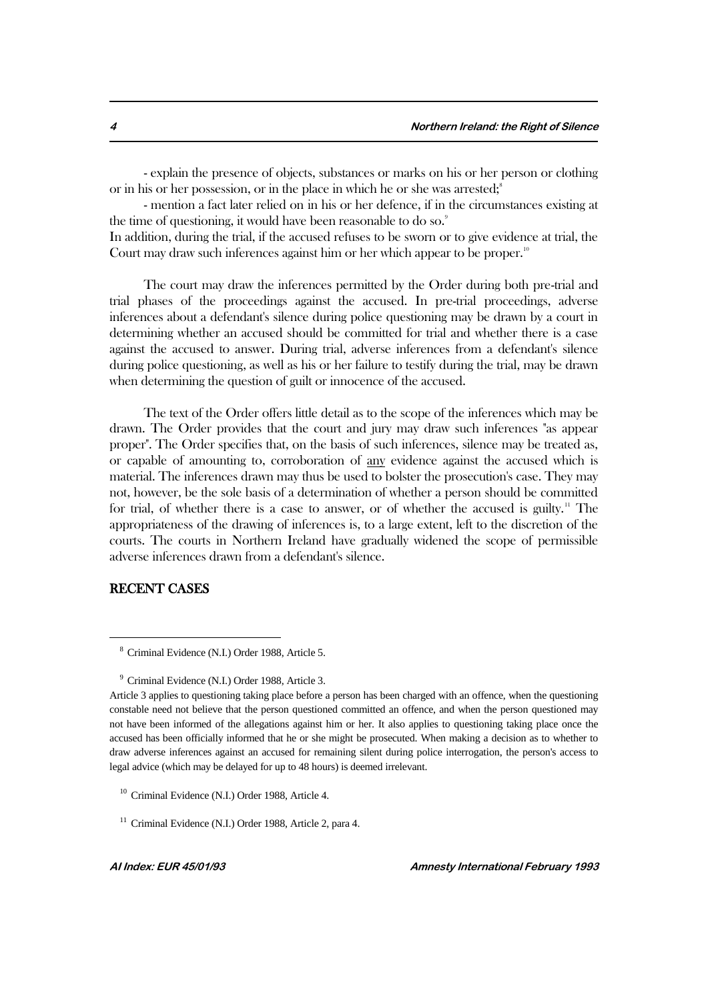- explain the presence of objects, substances or marks on his or her person or clothing or in his or her possession, or in the place in which he or she was arrested; $\frac{8}{3}$ 

- mention a fact later relied on in his or her defence, if in the circumstances existing at the time of questioning, it would have been reasonable to do so.<sup>9</sup>

In addition, during the trial, if the accused refuses to be sworn or to give evidence at trial, the Court may draw such inferences against him or her which appear to be proper.<sup>10</sup>

The court may draw the inferences permitted by the Order during both pre-trial and trial phases of the proceedings against the accused. In pre-trial proceedings, adverse inferences about a defendant's silence during police questioning may be drawn by a court in determining whether an accused should be committed for trial and whether there is a case against the accused to answer. During trial, adverse inferences from a defendant's silence during police questioning, as well as his or her failure to testify during the trial, may be drawn when determining the question of guilt or innocence of the accused.

The text of the Order offers little detail as to the scope of the inferences which may be drawn. The Order provides that the court and jury may draw such inferences "as appear proper". The Order specifies that, on the basis of such inferences, silence may be treated as, or capable of amounting to, corroboration of any evidence against the accused which is material. The inferences drawn may thus be used to bolster the prosecution's case. They may not, however, be the sole basis of a determination of whether a person should be committed for trial, of whether there is a case to answer, or of whether the accused is guilty.<sup>11</sup> The appropriateness of the drawing of inferences is, to a large extent, left to the discretion of the courts. The courts in Northern Ireland have gradually widened the scope of permissible adverse inferences drawn from a defendant's silence.

#### RECENT CASES

<sup>8</sup> Criminal Evidence (N.I.) Order 1988, Article 5.

<sup>9</sup> Criminal Evidence (N.I.) Order 1988, Article 3.

Article 3 applies to questioning taking place before a person has been charged with an offence, when the questioning constable need not believe that the person questioned committed an offence, and when the person questioned may not have been informed of the allegations against him or her. It also applies to questioning taking place once the accused has been officially informed that he or she might be prosecuted. When making a decision as to whether to draw adverse inferences against an accused for remaining silent during police interrogation, the person's access to legal advice (which may be delayed for up to 48 hours) is deemed irrelevant.

<sup>10</sup> Criminal Evidence (N.I.) Order 1988, Article 4.

<sup>&</sup>lt;sup>11</sup> Criminal Evidence (N.I.) Order 1988, Article 2, para 4.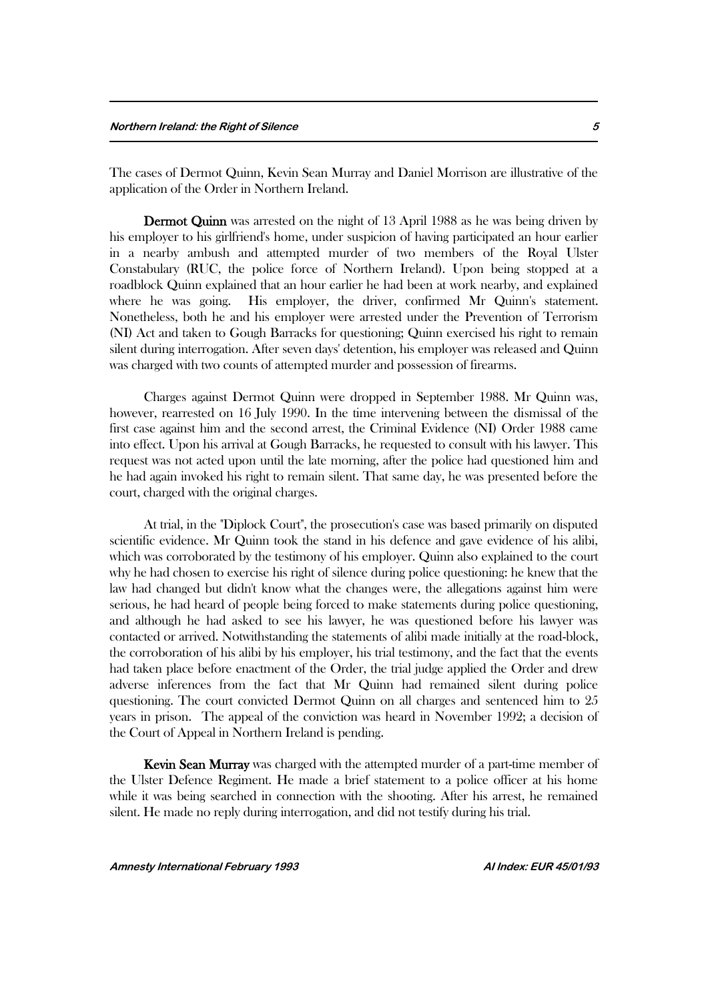The cases of Dermot Quinn, Kevin Sean Murray and Daniel Morrison are illustrative of the application of the Order in Northern Ireland.

 Dermot Quinn was arrested on the night of 13 April 1988 as he was being driven by his employer to his girlfriend's home, under suspicion of having participated an hour earlier in a nearby ambush and attempted murder of two members of the Royal Ulster Constabulary (RUC, the police force of Northern Ireland). Upon being stopped at a roadblock Quinn explained that an hour earlier he had been at work nearby, and explained where he was going. His employer, the driver, confirmed Mr Quinn's statement. Nonetheless, both he and his employer were arrested under the Prevention of Terrorism (NI) Act and taken to Gough Barracks for questioning; Quinn exercised his right to remain silent during interrogation. After seven days' detention, his employer was released and Quinn was charged with two counts of attempted murder and possession of firearms.

Charges against Dermot Quinn were dropped in September 1988. Mr Quinn was, however, rearrested on 16 July 1990. In the time intervening between the dismissal of the first case against him and the second arrest, the Criminal Evidence (NI) Order 1988 came into effect. Upon his arrival at Gough Barracks, he requested to consult with his lawyer. This request was not acted upon until the late morning, after the police had questioned him and he had again invoked his right to remain silent. That same day, he was presented before the court, charged with the original charges.

At trial, in the "Diplock Court", the prosecution's case was based primarily on disputed scientific evidence. Mr Quinn took the stand in his defence and gave evidence of his alibi, which was corroborated by the testimony of his employer. Quinn also explained to the court why he had chosen to exercise his right of silence during police questioning: he knew that the law had changed but didn't know what the changes were, the allegations against him were serious, he had heard of people being forced to make statements during police questioning, and although he had asked to see his lawyer, he was questioned before his lawyer was contacted or arrived. Notwithstanding the statements of alibi made initially at the road-block, the corroboration of his alibi by his employer, his trial testimony, and the fact that the events had taken place before enactment of the Order, the trial judge applied the Order and drew adverse inferences from the fact that Mr Quinn had remained silent during police questioning. The court convicted Dermot Quinn on all charges and sentenced him to 25 years in prison. The appeal of the conviction was heard in November 1992; a decision of the Court of Appeal in Northern Ireland is pending.

 Kevin Sean Murray was charged with the attempted murder of a part-time member of the Ulster Defence Regiment. He made a brief statement to a police officer at his home while it was being searched in connection with the shooting. After his arrest, he remained silent. He made no reply during interrogation, and did not testify during his trial.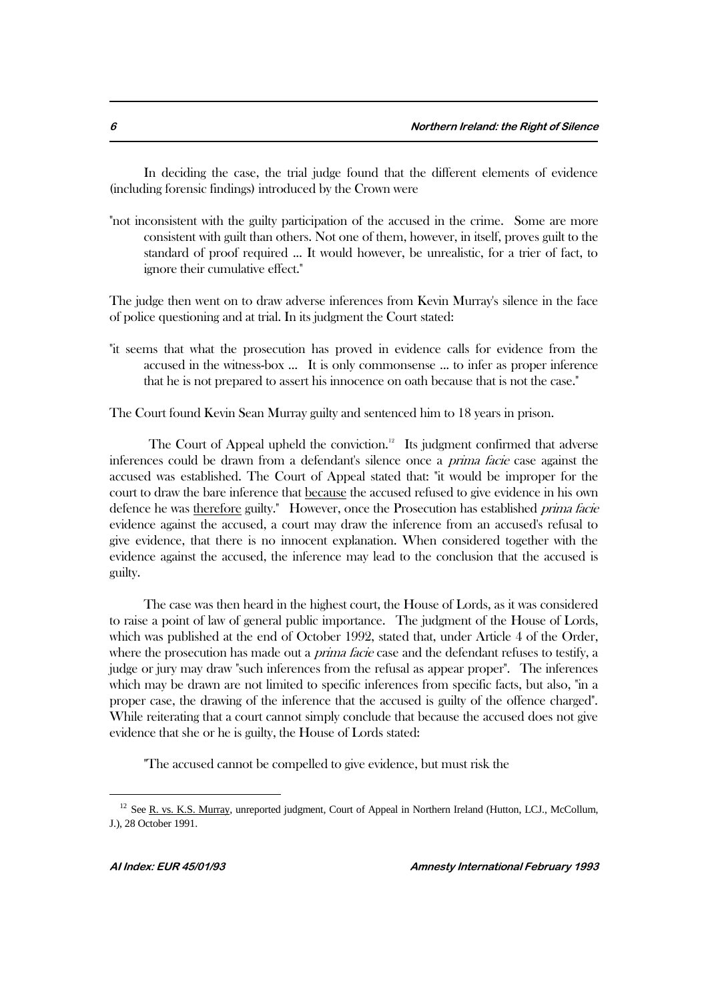In deciding the case, the trial judge found that the different elements of evidence (including forensic findings) introduced by the Crown were

"not inconsistent with the guilty participation of the accused in the crime. Some are more consistent with guilt than others. Not one of them, however, in itself, proves guilt to the standard of proof required ... It would however, be unrealistic, for a trier of fact, to ignore their cumulative effect."

The judge then went on to draw adverse inferences from Kevin Murray's silence in the face of police questioning and at trial. In its judgment the Court stated:

"it seems that what the prosecution has proved in evidence calls for evidence from the accused in the witness-box ... It is only commonsense ... to infer as proper inference that he is not prepared to assert his innocence on oath because that is not the case."

The Court found Kevin Sean Murray guilty and sentenced him to 18 years in prison.

The Court of Appeal upheld the conviction.<sup>12</sup> Its judgment confirmed that adverse inferences could be drawn from a defendant's silence once a prima facie case against the accused was established. The Court of Appeal stated that: "it would be improper for the court to draw the bare inference that because the accused refused to give evidence in his own defence he was therefore guilty." However, once the Prosecution has established *prima facie* evidence against the accused, a court may draw the inference from an accused's refusal to give evidence, that there is no innocent explanation. When considered together with the evidence against the accused, the inference may lead to the conclusion that the accused is guilty.

The case was then heard in the highest court, the House of Lords, as it was considered to raise a point of law of general public importance. The judgment of the House of Lords, which was published at the end of October 1992, stated that, under Article 4 of the Order, where the prosecution has made out a *prima facie* case and the defendant refuses to testify, a judge or jury may draw "such inferences from the refusal as appear proper". The inferences which may be drawn are not limited to specific inferences from specific facts, but also, "in a proper case, the drawing of the inference that the accused is guilty of the offence charged". While reiterating that a court cannot simply conclude that because the accused does not give evidence that she or he is guilty, the House of Lords stated:

"The accused cannot be compelled to give evidence, but must risk the

 $12$  See R. vs. K.S. Murray, unreported judgment, Court of Appeal in Northern Ireland (Hutton, LCJ., McCollum, J.), 28 October 1991.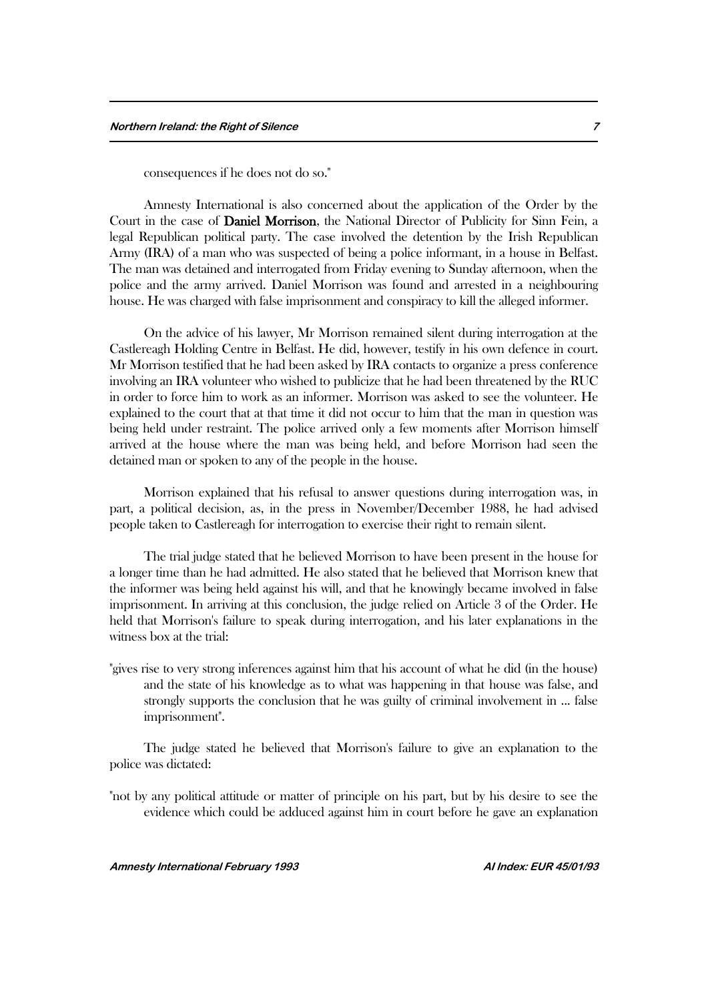consequences if he does not do so."

 Amnesty International is also concerned about the application of the Order by the Court in the case of Daniel Morrison, the National Director of Publicity for Sinn Fein, a legal Republican political party. The case involved the detention by the Irish Republican Army (IRA) of a man who was suspected of being a police informant, in a house in Belfast. The man was detained and interrogated from Friday evening to Sunday afternoon, when the police and the army arrived. Daniel Morrison was found and arrested in a neighbouring house. He was charged with false imprisonment and conspiracy to kill the alleged informer.

On the advice of his lawyer, Mr Morrison remained silent during interrogation at the Castlereagh Holding Centre in Belfast. He did, however, testify in his own defence in court. Mr Morrison testified that he had been asked by IRA contacts to organize a press conference involving an IRA volunteer who wished to publicize that he had been threatened by the RUC in order to force him to work as an informer. Morrison was asked to see the volunteer. He explained to the court that at that time it did not occur to him that the man in question was being held under restraint. The police arrived only a few moments after Morrison himself arrived at the house where the man was being held, and before Morrison had seen the detained man or spoken to any of the people in the house.

Morrison explained that his refusal to answer questions during interrogation was, in part, a political decision, as, in the press in November/December 1988, he had advised people taken to Castlereagh for interrogation to exercise their right to remain silent.

The trial judge stated that he believed Morrison to have been present in the house for a longer time than he had admitted. He also stated that he believed that Morrison knew that the informer was being held against his will, and that he knowingly became involved in false imprisonment. In arriving at this conclusion, the judge relied on Article 3 of the Order. He held that Morrison's failure to speak during interrogation, and his later explanations in the witness box at the trial:

"gives rise to very strong inferences against him that his account of what he did (in the house) and the state of his knowledge as to what was happening in that house was false, and strongly supports the conclusion that he was guilty of criminal involvement in ... false imprisonment".

The judge stated he believed that Morrison's failure to give an explanation to the police was dictated:

"not by any political attitude or matter of principle on his part, but by his desire to see the evidence which could be adduced against him in court before he gave an explanation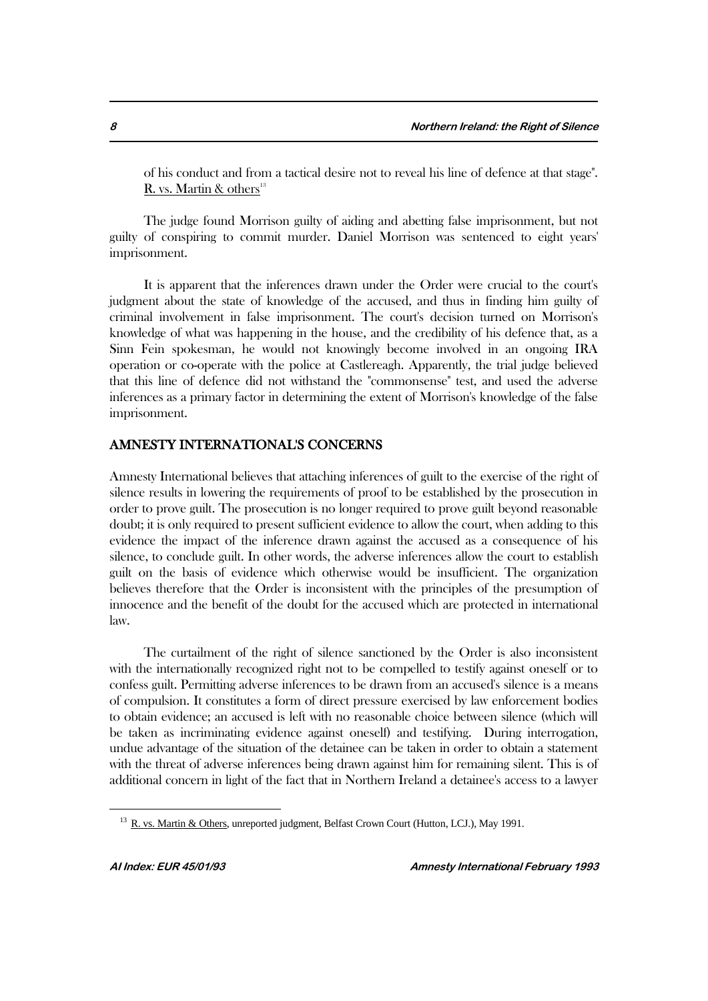of his conduct and from a tactical desire not to reveal his line of defence at that stage". R. vs. Martin  $\&$  others<sup>13</sup>

The judge found Morrison guilty of aiding and abetting false imprisonment, but not guilty of conspiring to commit murder. Daniel Morrison was sentenced to eight years' imprisonment.

It is apparent that the inferences drawn under the Order were crucial to the court's judgment about the state of knowledge of the accused, and thus in finding him guilty of criminal involvement in false imprisonment. The court's decision turned on Morrison's knowledge of what was happening in the house, and the credibility of his defence that, as a Sinn Fein spokesman, he would not knowingly become involved in an ongoing IRA operation or co-operate with the police at Castlereagh. Apparently, the trial judge believed that this line of defence did not withstand the "commonsense" test, and used the adverse inferences as a primary factor in determining the extent of Morrison's knowledge of the false imprisonment.

## AMNESTY INTERNATIONAL'S CONCERNS

Amnesty International believes that attaching inferences of guilt to the exercise of the right of silence results in lowering the requirements of proof to be established by the prosecution in order to prove guilt. The prosecution is no longer required to prove guilt beyond reasonable doubt; it is only required to present sufficient evidence to allow the court, when adding to this evidence the impact of the inference drawn against the accused as a consequence of his silence, to conclude guilt. In other words, the adverse inferences allow the court to establish guilt on the basis of evidence which otherwise would be insufficient. The organization believes therefore that the Order is inconsistent with the principles of the presumption of innocence and the benefit of the doubt for the accused which are protected in international law.

The curtailment of the right of silence sanctioned by the Order is also inconsistent with the internationally recognized right not to be compelled to testify against oneself or to confess guilt. Permitting adverse inferences to be drawn from an accused's silence is a means of compulsion. It constitutes a form of direct pressure exercised by law enforcement bodies to obtain evidence; an accused is left with no reasonable choice between silence (which will be taken as incriminating evidence against oneself) and testifying. During interrogation, undue advantage of the situation of the detainee can be taken in order to obtain a statement with the threat of adverse inferences being drawn against him for remaining silent. This is of additional concern in light of the fact that in Northern Ireland a detainee's access to a lawyer

<sup>&</sup>lt;sup>13</sup> R. vs. Martin & Others, unreported judgment, Belfast Crown Court (Hutton, LCJ.), May 1991.